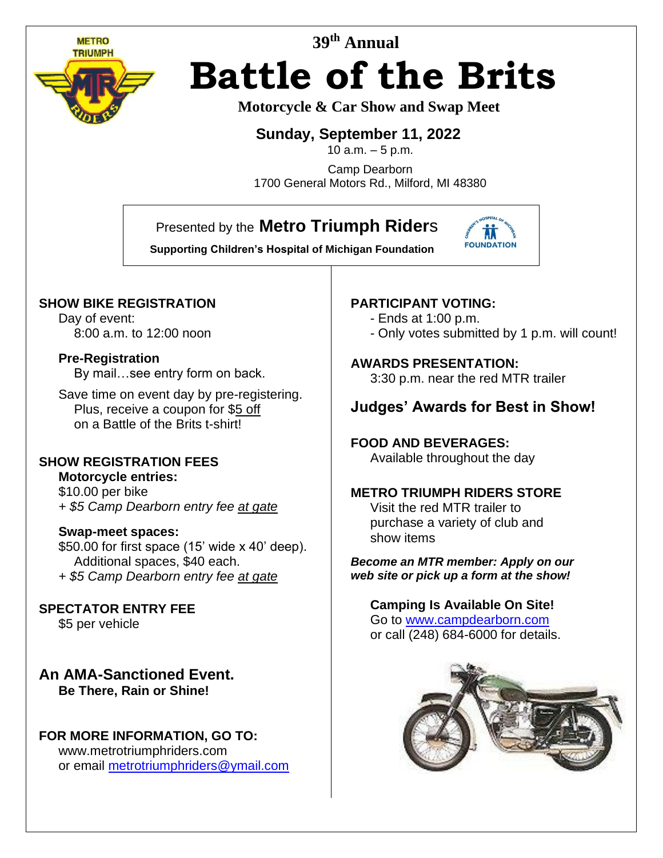

# **39 th Annual Battle of the Brits**

## **Motorcycle & Car Show and Swap Meet**

## **Sunday, September 11, 2022**

10  $a.m. - 5 p.m.$ 

Camp Dearborn 1700 General Motors Rd., Milford, MI 48380

# Presented by the **Metro Triumph Rider**s



## **SHOW BIKE REGISTRATION**

Day of event: 8:00 a.m. to 12:00 noon

#### **Pre-Registration**

By mail…see entry form on back.

Save time on event day by pre-registering. Plus, receive a coupon for \$5 off on a Battle of the Brits t-shirt!

l

## **SHOW REGISTRATION FEES**

**Motorcycle entries:** \$10.00 per bike *+ \$5 Camp Dearborn entry fee at gate*

#### **Swap-meet spaces:**

\$50.00 for first space (15' wide x 40' deep). Additional spaces, \$40 each. *+ \$5 Camp Dearborn entry fee at gate*

**SPECTATOR ENTRY FEE** \$5 per vehicle

**An AMA-Sanctioned Event. Be There, Rain or Shine!**

### **FOR MORE INFORMATION, GO TO:**

www.metrotriumphriders.com or email [metrotriumphriders@ymail.com](mailto:metrotriumphriders@ymail.com)

### **PARTICIPANT VOTING:**

- Ends at 1:00 p.m.
- Only votes submitted by 1 p.m. will count!

#### **AWARDS PRESENTATION:**

3:30 p.m. near the red MTR trailer

# **Judges' Awards for Best in Show!**

## **FOOD AND BEVERAGES:**

Available throughout the day

#### **METRO TRIUMPH RIDERS STORE**

Visit the red MTR trailer to purchase a variety of club and show items

#### *Become an MTR member: Apply on our web site or pick up a form at the show!*

#### **Camping Is Available On Site!** Go to [www.campdearborn.com](http://www.campdearborn.com/) or call (248) 684-6000 for details.